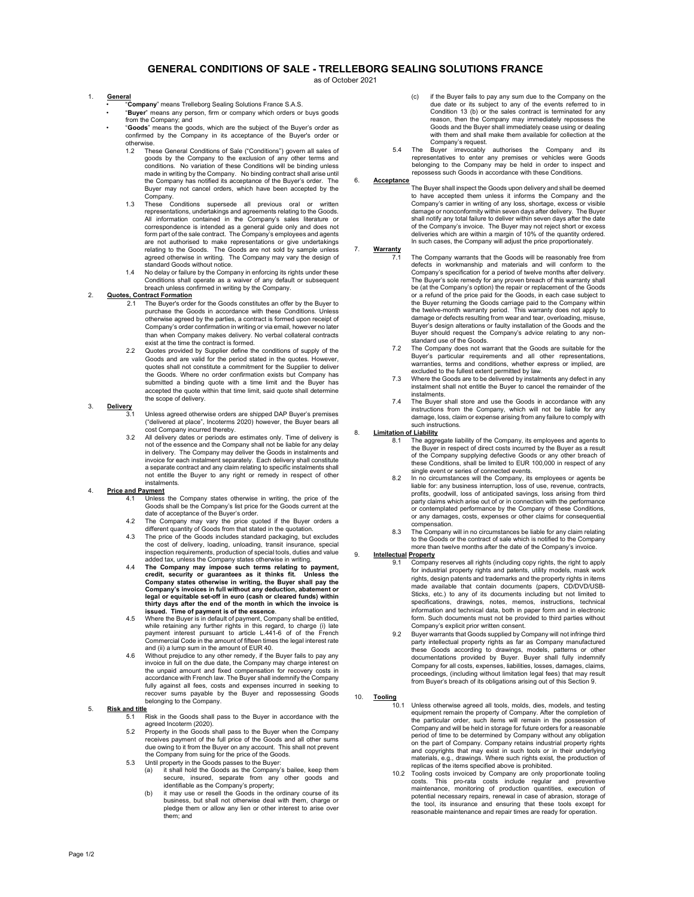# GENERAL CONDITIONS OF SALE - TRELLEBORG SEALING SOLUTIONS FRANCE

as of October 2021

#### 1. General

- <u>...</u><br>"**Company**" means Trelleborg Sealing Solutions France S.A.S.
- "Buyer" means any person, firm or company which orders or buys goods from the Company; and
- "Goods" means the goods, which are the subject of the Buyer's order as confirmed by the Company in its acceptance of the Buyer's order or otherwise.
	- 1.2 These General Conditions of Sale ("Conditions") govern all sales of goods by the Company to the exclusion of any other terms and conditions. No variation of these Conditions will be binding unless made in writing by the Company. No binding contract shall arise until the Company has notified its acceptance of the Buyer's order. The Buyer may not cancel orders, which have been accepted by the Company. 1.3 These Conditions supersede all previous oral or written
	- representations, undertakings and agreements relating to the Goods. All information contained in the Company's sales literature or correspondence is intended as a general guide only and does not form part of the sale contract. The Company's employees and agents are not authorised to make representations or give undertakings relating to the Goods. The Goods are not sold by sample unless agreed otherwise in writing. The Company may vary the design of standard Goods without notice.
	- 1.4 No delay or failure by the Company in enforcing its rights under these Conditions shall operate as a waiver of any default or subsequent breach unless confirmed in writing by the Company.

#### 2. Quotes, Contract Formation

- 2.1 The Buyer's order for the Goods constitutes an offer by the Buyer to purchase the Goods in accordance with these Conditions. Unless .<br>otherwise agreed by the parties, a contract is formed upon receipt of Company's order confirmation in writing or via email, however no later than when Company makes delivery. No verbal collateral contracts exist at the time the contract is formed.
- 2.2 Quotes provided by Supplier define the conditions of supply of the Goods and are valid for the period stated in the quotes. However, quotes shall not constitute a commitment for the Supplier to deliver the Goods. Where no order confirmation exists but Company has submitted a binding quote with a time limit and the Buyer has accepted the quote within that time limit, said quote shall determine the scope of delivery.

# 3. Delivery

- 3.1 Unless agreed otherwise orders are shipped DAP Buyer's premises ("delivered at place", Incoterms 2020) however, the Buyer bears all cost Company incurred thereby.
- 3.2 All delivery dates or periods are estimates only. Time of delivery is not of the essence and the Company shall not be liable for any delay in delivery. The Company may deliver the Goods in instalments and invoice for each instalment separately. Each delivery shall constitute a separate contract and any claim relating to specific instalments shall not entitle the Buyer to any right or remedy in respect of other instalments.

### 4. Price and Payment

- Unless the Company states otherwise in writing, the price of the Goods shall be the Company's list price for the Goods current at the date of acceptance of the Buyer's order.
- 4.2 The Company may vary the price quoted if the Buyer orders a different quantity of Goods from that stated in the quotation.
- 4.3 The price of the Goods includes standard packaging, but excludes the cost of delivery, loading, unloading, transit insurance, special inspection requirements, production of special tools, duties and value added tax, unless the Company states otherwise in writing.
- 4.4 The Company may impose such terms relating to payment, credit, security or guarantees as it thinks fit. Unless the Company states otherwise in writing, the Buyer shall pay the Company's invoices in full without any deduction, abatement or legal or equitable set-off in euro (cash or cleared funds) within thirty days after the end of the month in which the invoice is issued. Time of payment is of the essence.
- 4.5 Where the Buyer is in default of payment, Company shall be entitled, while retaining any further rights in this regard, to charge (i) late<br>payment interest pursuant to article L.441-6 of of the French<br>Commercial Code in the amount of fifteen times the legal interest rate
- and (ii) a lump sum in the amount of EUR 40. 4.6 Without prejudice to any other remedy, if the Buyer fails to pay any invoice in full on the due date, the Company may charge interest on the unpaid amount and fixed compensation for recovery costs in accordance with French law. The Buyer shall indemnify the Company fully against all fees, costs and expenses incurred in seeking to recover sums payable by the Buyer and repossessing Goods belonging to the Company.

# 5. Risk and title

- 5.1 Risk in the Goods shall pass to the Buyer in accordance with the agreed Incoterm (2020).
- 5.2 Property in the Goods shall pass to the Buyer when the Company receives payment of the full price of the Goods and all other sums due owing to it from the Buyer on any account. This shall not prevent the Company from suing for the price of the Goods.
- 5.3 Until property in the Goods passes to the Buyer:
	- (a) it shall hold the Goods as the Company's bailee, keep them secure, insured, separate from any other goods and identifiable as the Company's property; (b) it may use or resell the Goods in the ordinary course of its
	- business, but shall not otherwise deal with them, charge or pledge them or allow any lien or other interest to arise over them; and
- (c) if the Buyer fails to pay any sum due to the Company on the due date or its subject to any of the events referred to in Condition 13 (b) or the sales contract is terminated for any reason, then the Company may immediately repossess the Goods and the Buyer shall immediately cease using or dealing with them and shall make them available for collection at the Company's request.
- 5.4 The Buyer irrevocably authorises the Company and its representatives to enter any premises or vehicles were Goods belonging to the Company may be held in order to inspect and repossess such Goods in accordance with these Conditions.

#### 6. Acceptance

The Buyer shall inspect the Goods upon delivery and shall be deemed to have accepted them unless it informs the Company and the Company's carrier in writing of any loss, shortage, excess or visible damage or nonconformity within seven days after delivery. The Buyer shall notify any total failure to deliver within seven days after the date of the Company's invoice. The Buyer may not reject short or excess deliveries which are within a margin of 10% of the quantity ordered. In such cases, the Company will adjust the price proportionately.

# 7. Warranty

- 7.1 The Company warrants that the Goods will be reasonably free from defects in workmanship and materials and will conform to the Company's specification for a period of twelve months after delivery. The Buyer's sole remedy for any proven breach of this warranty shall be (at the Company's option) the repair or replacement of the Goods or a refund of the price paid for the Goods, in each case subject to the Buyer returning the Goods carriage paid to the Company within the twelve-month warranty period. This warranty does not apply to damage or defects resulting from wear and tear, overloading, misuse, Buyer's design alterations or faulty installation of the Goods and the Buyer should request the Company's advice relating to any nonstandard use of the Goods.
- 7.2 The Company does not warrant that the Goods are suitable for the Buyer's particular requirements and all other representations, warranties, terms and conditions, whether express or implied, are excluded to the fullest extent permitted by law.
- 7.3 Where the Goods are to be delivered by instalments any defect in any instalment shall not entitle the Buyer to cancel the remainder of the instalments.
- 7.4 The Buyer shall store and use the Goods in accordance with any instructions from the Company, which will not be liable for any damage, loss, claim or expense arising from any failure to comply with such instructions.

#### 8. **Limitation of Liability**

- 8.1 The aggregate liability of the Company, its employees and agents to the Buyer in respect of direct costs incurred by the Buyer as a result of the Company supplying defective Goods or any other breach of these Conditions, shall be limited to EUR 100,000 in respect of any single event or series of connected events.
- In no circumstances will the Company, its employees or agents be liable for: any business interruption, loss of use, revenue, contracts, profits, goodwill, loss of anticipated savings, loss arising from third party claims which arise out of or in connection with the performance or contemplated performance by the Company of these Conditions, or any damages, costs, expenses or other claims for consequential compensation.
- 8.3 The Company will in no circumstances be liable for any claim relating to the Goods or the contract of sale which is notified to the Company more than twelve months after the date of the Company's invoice.

# 9. **Intellectual Property**

- Company reserves all rights (including copy rights, the right to apply for industrial property rights and patents, utility models, mask work rights, design patents and trademarks and the property rights in items made available that contain documents (papers, CD/DVD/USB-Sticks, etc.) to any of its documents including but not limited to specifications, drawings, notes, memos, instructions, technical information and technical data, both in paper form and in electronic form. Such documents must not be provided to third parties without Company's explicit prior written consent.
- 9.2 Buyer warrants that Goods supplied by Company will not infringe third party intellectual property rights as far as Company manufactured these Goods according to drawings, models, patterns or other documentations provided by Buyer. Buyer shall fully indemnify Company for all costs, expenses, liabilities, losses, damages, claims, proceedings, (including without limitation legal fees) that may result from Buyer's breach of its obligations arising out of this Section 9.

#### 10. Tooling

- 10.1 Unless otherwise agreed all tools, molds, dies, models, and testing equipment remain the property of Company. After the completion of the particular order, such items will remain in the possession of Company and will be held in storage for future orders for a reasonable period of time to be determined by Company without any obligation on the part of Company. Company retains industrial property rights<br>and copyrights that may exist in such tools or in their underlying<br>materials, e.g., drawings. Where such rights exist, the production of replicas of the items specified above is prohibited.
- 10.2 Tooling costs invoiced by Company are only proportionate tooling costs. This pro-rata costs include regular and preventive maintenance, monitoring of production quantities, execution of potential necessary repairs, renewal in case of abrasion, storage of the tool, its insurance and ensuring that these tools except for reasonable maintenance and repair times are ready for operation.